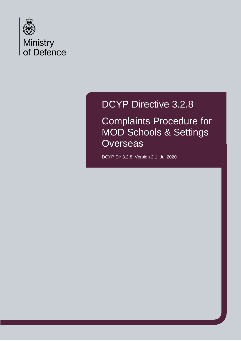

# DCYP Directive 3.2.8

Complaints Procedure for MOD Schools & Settings **Overseas** 

DCYP Dir 3.2.8 Version 2.1 Jul 2020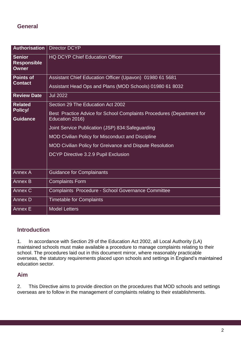### **General**

| <b>Authorisation</b>                                | <b>Director DCYP</b>                                                  |
|-----------------------------------------------------|-----------------------------------------------------------------------|
| <b>Senior</b><br><b>Responsible</b><br><b>Owner</b> | <b>HQ DCYP Chief Education Officer</b>                                |
| <b>Points of</b><br><b>Contact</b>                  | Assistant Chief Education Officer (Upavon) 01980 61 5681              |
|                                                     | Assistant Head Ops and Plans (MOD Schools) 01980 61 8032              |
| <b>Review Date</b>                                  | <b>Jul 2022</b>                                                       |
| <b>Related</b><br>Policy/<br><b>Guidance</b>        | Section 29 The Education Act 2002                                     |
|                                                     | Best Practice Advice for School Complaints Procedures (Department for |
|                                                     | Education 2016)                                                       |
|                                                     | Joint Service Publication (JSP) 834: Safeguarding                     |
|                                                     | <b>MOD Civilian Policy for Misconduct and Discipline</b>              |
|                                                     | MOD Civilian Policy for Greivance and Dispute Resolution              |
|                                                     | DCYP Directive 3.2.9 Pupil Exclusion                                  |
|                                                     |                                                                       |
| <b>Annex A</b>                                      | <b>Guidance for Complainants</b>                                      |
| <b>Annex B</b>                                      | <b>Complaints Form</b>                                                |
| Annex C                                             | Complaints Procedure - School Governance Committee                    |
| <b>Annex D</b>                                      | <b>Timetable for Complaints</b>                                       |
| Annex E                                             | <b>Model Letters</b>                                                  |

### **Introduction**

1. In accordance with Section 29 of the Education Act 2002, all Local Authority (LA) maintained schools must make available a procedure to manage complaints relating to their school. The procedures laid out in this document mirror, where reasonably practicable overseas, the statutory requirements placed upon schools and settings in England's maintained education sector.

### **Aim**

2. This Directive aims to provide direction on the procedures that MOD schools and settings overseas are to follow in the management of complaints relating to their establishments.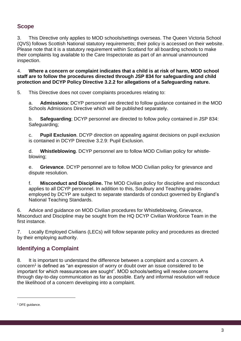# **Scope**

3. This Directive only applies to MOD schools/settings overseas. The Queen Victoria School (QVS) follows Scottish National statutory requirements; their policy is accessed on their website. Please note that it is a statutory requirement within Scotland for all boarding schools to make their complaints log available to the Care Inspectorate as part of an annual unannounced inspection.

4. **Where a concern or complaint indicates that a child is at risk of harm, MOD school staff are to follow the procedures directed through JSP 834 for safeguarding and child protection and DCYP Policy Directive 3.2.2 for allegations of a Safeguarding nature.**

5. This Directive does not cover complaints procedures relating to:

a. **Admissions**; DCYP personnel are directed to follow guidance contained in the MOD Schools Admissions Directive which will be published separately.

b. **Safeguarding**; DCYP personnel are directed to follow policy contained in JSP 834: Safeguarding;

c. **Pupil Exclusion**. DCYP direction on appealing against decisions on pupil exclusion is contained in DCYP Directive 3.2.9: Pupil Exclusion.

d. **Whistleblowing**. DCYP personnel are to follow MOD Civilian policy for whistleblowing;

e. **Grievance**. DCYP personnel are to follow MOD Civilian policy for grievance and dispute resolution.

f. **Misconduct and Discipline.** The MOD Civilian policy for discipline and misconduct applies to all DCYP personnel. In addition to this, Soulbury and Teaching grades employed by DCYP are subject to separate standards of conduct governed by England's National Teaching Standards.

6. Advice and guidance on MOD Civilian procedures for Whistleblowing, Grievance, Misconduct and Discipline may be sought from the HQ DCYP Civilian Workforce Team in the first instance.

7. Locally Employed Civilians (LECs) will follow separate policy and procedures as directed by their employing authority.

# **Identifying a Complaint**

8. It is important to understand the difference between a complaint and a concern. A  $\rm{concern}^1$  is defined as "an expression of worry or doubt over an issue considered to be important for which reassurances are sought". MOD schools/setting will resolve concerns through day-to-day communication as far as possible. Early and informal resolution will reduce the likelihood of a concern developing into a complaint.

<sup>&</sup>lt;sup>1</sup> DFE quidance.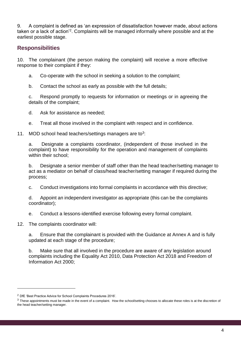9. A complaint is defined as 'an expression of dissatisfaction however made, about actions taken or a lack of action'<sup>2</sup>. Complaints will be managed informally where possible and at the earliest possible stage.

# **Responsibilities**

10. The complainant (the person making the complaint) will receive a more effective response to their complaint if they:

- a. Co-operate with the school in seeking a solution to the complaint;
- b. Contact the school as early as possible with the full details;

c. Respond promptly to requests for information or meetings or in agreeing the details of the complaint;

d. Ask for assistance as needed;

- e. Treat all those involved in the complaint with respect and in confidence.
- 11. MOD school head teachers/settings managers are to<sup>3</sup>:

a. Designate a complaints coordinator, (independent of those involved in the complaint) to have responsibility for the operation and management of complaints within their school;

b. Designate a senior member of staff other than the head teacher/setting manager to act as a mediator on behalf of class/head teacher/setting manager if required during the process;

c. Conduct investigations into formal complaints in accordance with this directive;

d. Appoint an independent investigator as appropriate (this can be the complaints coordinator);

e. Conduct a lessons-identified exercise following every formal complaint.

12. The complaints coordinator will:

a. Ensure that the complainant is provided with the Guidance at Annex A and is fully updated at each stage of the procedure;

b. Make sure that all involved in the procedure are aware of any legislation around complaints including the Equality Act 2010, Data Protection Act 2018 and Freedom of Information Act 2000;

 $\overline{a}$ 

<sup>2</sup> DfE 'Best Practice Advice for School Complaints Procedures 2016'.

<sup>&</sup>lt;sup>3</sup> These appointments must be made in the event of a complaint. How the school/setting chooses to allocate these roles is at the discretion of the head teacher/setting manager.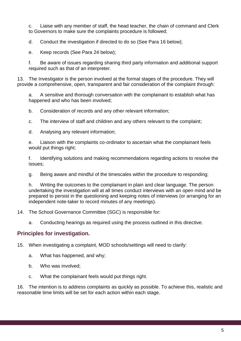c. Liaise with any member of staff, the head teacher, the chain of command and Clerk to Governors to make sure the complaints procedure is followed;

d. Conduct the investigation if directed to do so (See Para 16 below);

e. Keep records (See Para 24 below);

f. Be aware of issues regarding sharing third party information and additional support required such as that of an interpreter.

13. The Investigator is the person involved at the formal stages of the procedure. They will provide a comprehensive, open, transparent and fair consideration of the complaint through:

a. A sensitive and thorough conversation with the complainant to establish what has happened and who has been involved;

b. Consideration of records and any other relevant information;

c. The interview of staff and children and any others relevant to the complaint;

d. Analysing any relevant information;

e. Liaison with the complaints co-ordinator to ascertain what the complainant feels would put things right;

f. Identifying solutions and making recommendations regarding actions to resolve the issues;

g. Being aware and mindful of the timescales within the procedure to responding;

h. Writing the outcomes to the complainant in plain and clear language. The person undertaking the investigation will at all times conduct interviews with an open mind and be prepared to persist in the questioning and keeping notes of interviews (or arranging for an independent note-taker to record minutes of any meetings).

14. The School Governance Committee (SGC) is responsible for:

a. Conducting hearings as required using the process outlined in this directive.

# **Principles for investigation.**

15. When investigating a complaint, MOD schools/settings will need to clarify:

- a. What has happened, and why;
- b. Who was involved;
- c. What the complainant feels would put things right.

16. The intention is to address complaints as quickly as possible. To achieve this, realistic and reasonable time limits will be set for each action within each stage.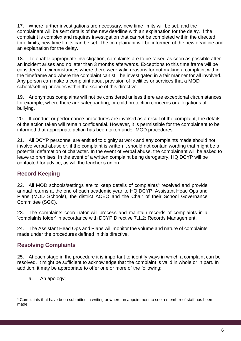17. Where further investigations are necessary, new time limits will be set, and the complainant will be sent details of the new deadline with an explanation for the delay. If the complaint is complex and requires investigation that cannot be completed within the directed time limits, new time limits can be set. The complainant will be informed of the new deadline and an explanation for the delay.

18. To enable appropriate investigation, complaints are to be raised as soon as possible after an incident arises and no later than 3 months afterwards. Exceptions to this time frame will be considered in circumstances where there were valid reasons for not making a complaint within the timeframe and where the complaint can still be investigated in a fair manner for all involved. Any person can make a complaint about provision of facilities or services that a MOD school/setting provides within the scope of this directive.

19. Anonymous complaints will not be considered unless there are exceptional circumstances; for example, where there are safeguarding, or child protection concerns or allegations of bullying.

20. If conduct or performance procedures are invoked as a result of the complaint, the details of the action taken will remain confidential. However, it is permissible for the complainant to be informed that appropriate action has been taken under MOD procedures.

21. All DCYP personnel are entitled to dignity at work and any complaints made should not involve verbal abuse or, if the complaint is written it should not contain wording that might be a potential defamation of character. In the event of verbal abuse, the complainant will be asked to leave to premises. In the event of a written complaint being derogatory, HQ DCYP will be contacted for advice, as will the teacher's union.

# **Record Keeping**

22. All MOD schools/settings are to keep details of complaints<sup>4</sup> received and provide annual returns at the end of each academic year, to HQ DCYP, Assistant Head Ops and Plans (MOD Schools), the district ACEO and the Chair of their School Governance Committee (SGC).

23. The complaints coordinator will process and maintain records of complaints in a 'complaints folder' in accordance with DCYP Directive 7.1.2: Records Management.

24. The Assistant Head Ops and Plans will monitor the volume and nature of complaints made under the procedures defined in this directive.

# **Resolving Complaints**

25. At each stage in the procedure it is important to identify ways in which a complaint can be resolved. It might be sufficient to acknowledge that the complaint is valid in whole or in part. In addition, it may be appropriate to offer one or more of the following:

a. An apology;

<sup>4</sup> Complaints that have been submitted in writing or where an appointment to see a member of staff has been made.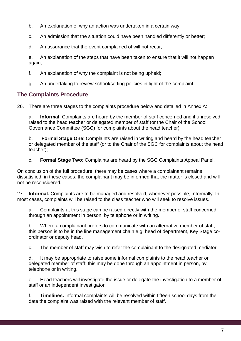- b. An explanation of why an action was undertaken in a certain way;
- c. An admission that the situation could have been handled differently or better;
- d. An assurance that the event complained of will not recur;

e. An explanation of the steps that have been taken to ensure that it will not happen again;

- f. An explanation of why the complaint is not being upheld;
- g. An undertaking to review school/setting policies in light of the complaint.

# **The Complaints Procedure**

26. There are three stages to the complaints procedure below and detailed in Annex A:

a. **Informal**: Complaints are heard by the member of staff concerned and if unresolved, raised to the head teacher or delegated member of staff (or the Chair of the School Governance Committee (SGC) for complaints about the head teacher);

b. **Formal Stage One**: Complaints are raised in writing and heard by the head teacher or delegated member of the staff (or to the Chair of the SGC for complaints about the head teacher);

c. **Formal Stage Two**: Complaints are heard by the SGC Complaints Appeal Panel.

On conclusion of the full procedure, there may be cases where a complainant remains dissatisfied; in these cases, the complainant may be informed that the matter is closed and will not be reconsidered.

27. **Informal.** Complaints are to be managed and resolved, whenever possible, informally. In most cases, complaints will be raised to the class teacher who will seek to resolve issues.

a. Complaints at this stage can be raised directly with the member of staff concerned, through an appointment in person, by telephone or in writing.

b. Where a complainant prefers to communicate with an alternative member of staff, this person is to be in the line management chain e.g. head of department, Key Stage coordinator or deputy head.

c. The member of staff may wish to refer the complainant to the designated mediator.

d. It may be appropriate to raise some informal complaints to the head teacher or delegated member of staff; this may be done through an appointment in person, by telephone or in writing.

e. Head teachers will investigate the issue or delegate the investigation to a member of staff or an independent investigator.

f. **Timelines.** Informal complaints will be resolved within fifteen school days from the date the complaint was raised with the relevant member of staff.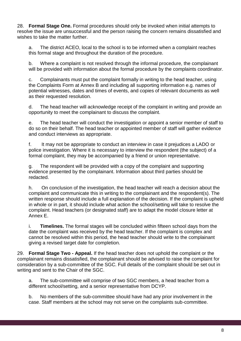28. **Formal Stage One.** Formal procedures should only be invoked when initial attempts to resolve the issue are unsuccessful and the person raising the concern remains dissatisfied and wishes to take the matter further.

a. The district ACEO, local to the school is to be informed when a complaint reaches this formal stage and throughout the duration of the procedure.

b. Where a complaint is not resolved through the informal procedure, the complainant will be provided with information about the formal procedure by the complaints coordinator.

c. Complainants must put the complaint formally in writing to the head teacher, using the Complaints Form at Annex B and including all supporting information e.g. names of potential witnesses, dates and times of events, and copies of relevant documents as well as their requested resolution.

d. The head teacher will acknowledge receipt of the complaint in writing and provide an opportunity to meet the complainant to discuss the complaint.

e. The head teacher will conduct the investigation or appoint a senior member of staff to do so on their behalf. The head teacher or appointed member of staff will gather evidence and conduct interviews as appropriate.

f. It may not be appropriate to conduct an interview in case it prejudices a LADO or police investigation. Where it is necessary to interview the respondent (the subject) of a formal complaint, they may be accompanied by a friend or union representative.

g. The respondent will be provided with a copy of the complaint and supporting evidence presented by the complainant. Information about third parties should be redacted.

h. On conclusion of the investigation, the head teacher will reach a decision about the complaint and communicate this in writing to the complainant and the respondent(s). The written response should include a full explanation of the decision. If the complaint is upheld in whole or in part, it should include what action the school/setting will take to resolve the complaint. Head teachers (or designated staff) are to adapt the model closure letter at Annex E.

i. **Timelines.** The formal stages will be concluded within fifteen school days from the date the complaint was received by the head teacher. If the complaint is complex and cannot be resolved within this period, the head teacher should write to the complainant giving a revised target date for completion.

29. **Formal Stage Two - Appeal.** If the head teacher does not uphold the complaint or the complainant remains dissatisfied, the complainant should be advised to raise the complaint for consideration by a sub-committee of the SGC. Full details of the complaint should be set out in writing and sent to the Chair of the SGC.

a. The sub-committee will comprise of two SGC members, a head teacher from a different school/setting, and a senior representative from DCYP.

b. No members of the sub-committee should have had any prior involvement in the case. Staff members at the school may not serve on the complaints sub-committee.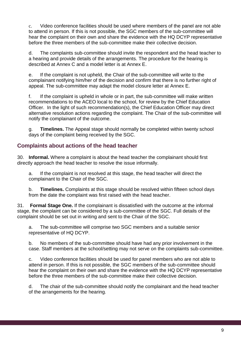c. Video conference facilities should be used where members of the panel are not able to attend in person. If this is not possible, the SGC members of the sub-committee will hear the complaint on their own and share the evidence with the HQ DCYP representative before the three members of the sub-committee make their collective decision.

d. The complaints sub-committee should invite the respondent and the head teacher to a hearing and provide details of the arrangements. The procedure for the hearing is described at Annex C and a model letter is at Annex E.

e. If the complaint is not upheld, the Chair of the sub-committee will write to the complainant notifying him/her of the decision and confirm that there is no further right of appeal. The sub-committee may adapt the model closure letter at Annex E.

f. If the complaint is upheld in whole or in part, the sub-committee will make written recommendations to the ACEO local to the school, for review by the Chief Education Officer. In the light of such recommendation(s), the Chief Education Officer may direct alternative resolution actions regarding the complaint. The Chair of the sub-committee will notify the complainant of the outcome.

g. **Timelines.** The Appeal stage should normally be completed within twenty school days of the complaint being received by the SGC.

# **Complaints about actions of the head teacher**

30. **Informal.** Where a complaint is about the head teacher the complainant should first directly approach the head teacher to resolve the issue informally.

a. If the complaint is not resolved at this stage, the head teacher will direct the complainant to the Chair of the SGC.

b. **Timelines.** Complaints at this stage should be resolved within fifteen school days from the date the complaint was first raised with the head teacher.

31. **Formal Stage One.** If the complainant is dissatisfied with the outcome at the informal stage, the complaint can be considered by a sub-committee of the SGC. Full details of the complaint should be set out in writing and sent to the Chair of the SGC.

a. The sub-committee will comprise two SGC members and a suitable senior representative of HQ DCYP.

b. No members of the sub-committee should have had any prior involvement in the case. Staff members at the school/setting may not serve on the complaints sub-committee.

c. Video conference facilities should be used for panel members who are not able to attend in person. If this is not possible, the SGC members of the sub-committee should hear the complaint on their own and share the evidence with the HQ DCYP representative before the three members of the sub-committee make their collective decision.

d. The chair of the sub-committee should notify the complainant and the head teacher of the arrangements for the hearing.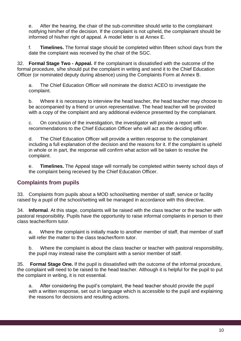e. After the hearing, the chair of the sub-committee should write to the complainant notifying him/her of the decision. If the complaint is not upheld, the complainant should be informed of his/her right of appeal. A model letter is at Annex E.

f. **Timelines.** The formal stage should be completed within fifteen school days from the date the complaint was received by the chair of the SGC.

32. **Formal Stage Two - Appeal.** If the complainant is dissatisfied with the outcome of the formal procedure, s/he should put the complaint in writing and send it to the Chief Education Officer (or nominated deputy during absence) using the Complaints Form at Annex B.

a. The Chief Education Officer will nominate the district ACEO to investigate the complaint.

b. Where it is necessary to interview the head teacher, the head teacher may choose to be accompanied by a friend or union representative. The head teacher will be provided with a copy of the complaint and any additional evidence presented by the complainant.

c. On conclusion of the investigation, the investigator will provide a report with recommendations to the Chief Education Officer who will act as the deciding officer.

d. The Chief Education Officer will provide a written response to the complainant including a full explanation of the decision and the reasons for it. If the complaint is upheld in whole or in part, the response will confirm what action will be taken to resolve the complaint.

e. **Timelines.** The Appeal stage will normally be completed within twenty school days of the complaint being received by the Chief Education Officer.

### **Complaints from pupils**

33. Complaints from pupils about a MOD school/setting member of staff, service or facility raised by a pupil of the school/setting will be managed in accordance with this directive.

34. **Informal**. At this stage, complaints will be raised with the class teacher or the teacher with pastoral responsibility. Pupils have the opportunity to raise informal complaints in person to their class teacher/form tutor.

a. Where the complaint is initially made to another member of staff, that member of staff will refer the matter to the class teacher/form tutor.

b. Where the complaint is about the class teacher or teacher with pastoral responsibility, the pupil may instead raise the complaint with a senior member of staff.

35. **Formal Stage One.** If the pupil is dissatisfied with the outcome of the informal procedure, the complaint will need to be raised to the head teacher. Although it is helpful for the pupil to put the complaint in writing, it is not essential.

a. After considering the pupil's complaint, the head teacher should provide the pupil with a written response, set out in language which is accessible to the pupil and explaining the reasons for decisions and resulting actions.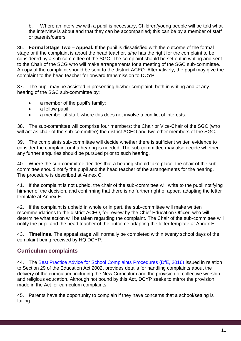b. Where an interview with a pupil is necessary, Children/young people will be told what the interview is about and that they can be accompanied; this can be by a member of staff or parents/carers.

36. **Formal Stage Two – Appeal.** If the pupil is dissatisfied with the outcome of the formal stage or if the complaint is about the head teacher, s/he has the right for the complaint to be considered by a sub-committee of the SGC. The complaint should be set out in writing and sent to the Chair of the SCG who will make arrangements for a meeting of the SGC sub-committee. A copy of the complaint should be sent to the district ACEO. Alternatively, the pupil may give the complaint to the head teacher for onward transmission to DCYP.

37. The pupil may be assisted in presenting his/her complaint, both in writing and at any hearing of the SGC sub-committee by:

- a member of the pupil's family;
- a fellow pupil:
- a member of staff, where this does not involve a conflict of interests.

38. The sub-committee will comprise four members: the Chair or Vice-Chair of the SGC (who will act as chair of the sub-committee) the district ACEO and two other members of the SGC.

39. The complaints sub-committee will decide whether there is sufficient written evidence to consider the complaint or if a hearing is needed. The sub-committee may also decide whether any further enquiries should be pursued prior to such hearing.

40. Where the sub-committee decides that a hearing should take place, the chair of the subcommittee should notify the pupil and the head teacher of the arrangements for the hearing. The procedure is described at Annex C.

41. If the complaint is not upheld, the chair of the sub-committee will write to the pupil notifying him/her of the decision, and confirming that there is no further right of appeal adapting the letter template at Annex E.

42. If the complaint is upheld in whole or in part, the sub-committee will make written recommendations to the district ACEO, for review by the Chief Education Officer, who will determine what action will be taken regarding the complaint. The Chair of the sub-committee will notify the pupil and the head teacher of the outcome adapting the letter template at Annex E.

43. **Timelines.** The appeal stage will normally be completed within twenty school days of the complaint being received by HQ DCYP.

# **Curriculum complaints**

44. The [Best Practice Advice for School Complaints Procedures \(DfE, 2016\)](https://www.gov.uk/government/uploads/system/uploads/attachment_data/file/489056/Best_Practice_Advice_for_School_Complaints_2016.pdf) issued in relation to Section 29 of the Education Act 2002, provides details for handling complaints about the delivery of the curriculum, including the New Curriculum and the provision of collective worship and religious education. Although not bound by this Act, DCYP seeks to mirror the provision made in the Act for curriculum complaints.

45. Parents have the opportunity to complain if they have concerns that a school/setting is failing: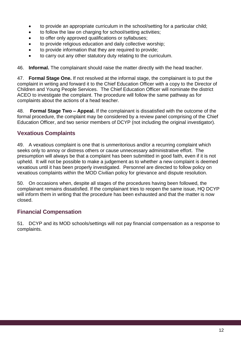- to provide an appropriate curriculum in the school/setting for a particular child;
- to follow the law on charging for school/setting activities;
- to offer only approved qualifications or syllabuses;
- to provide religious education and daily collective worship;
- to provide information that they are required to provide;
- to carry out any other statutory duty relating to the curriculum.

46. **Informal.** The complainant should raise the matter directly with the head teacher.

47. **Formal Stage One.** If not resolved at the informal stage, the complainant is to put the complaint in writing and forward it to the Chief Education Officer with a copy to the Director of Children and Young People Services. The Chief Education Officer will nominate the district ACEO to investigate the complaint. The procedure will follow the same pathway as for complaints about the actions of a head teacher.

48. **Formal Stage Two – Appeal.** If the complainant is dissatisfied with the outcome of the formal procedure, the complaint may be considered by a review panel comprising of the Chief Education Officer, and two senior members of DCYP (not including the original investigator).

# **Vexatious Complaints**

49. A vexatious complaint is one that is unmeritorious and/or a recurring complaint which seeks only to annoy or distress others or cause unnecessary administrative effort. The presumption will always be that a complaint has been submitted in good faith, even if it is not upheld. It will not be possible to make a judgement as to whether a new complaint is deemed vexatious until it has been properly investigated. Personnel are directed to follow policy on vexatious complaints within the MOD Civilian policy for grievance and dispute resolution.

50. On occasions when, despite all stages of the procedures having been followed, the complainant remains dissatisfied. If the complainant tries to reopen the same issue, HQ DCYP will inform them in writing that the procedure has been exhausted and that the matter is now closed.

### **Financial Compensation**

51. DCYP and its MOD schools/settings will not pay financial compensation as a response to complaints.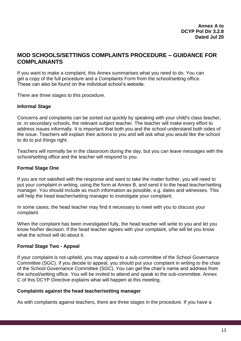### **MOD SCHOOLS/SETTINGS COMPLAINTS PROCEDURE – GUIDANCE FOR COMPLAINANTS**

If you want to make a complaint, this Annex summarises what you need to do. You can get a copy of the full procedure and a Complaints Form from the school/setting office. These can also be found on the individual school's website.

There are three stages to this procedure.

### **Informal Stage**

Concerns and complaints can be sorted out quickly by speaking with your child's class teacher, or, in secondary schools, the relevant subject teacher. The teacher will make every effort to address issues informally. It is important that both you and the school understand both sides of the issue. Teachers will explain their actions to you and will ask what you would like the school to do to put things right.

Teachers will normally be in the classroom during the day, but you can leave messages with the school/setting office and the teacher will respond to you.

### **Formal Stage One**

If you are not satisfied with the response and want to take the matter further, you will need to put your complaint in writing, using the form at Annex B, and send it to the head teacher/setting manager. You should include as much information as possible, e.g. dates and witnesses. This will help the head teacher/setting manager to investigate your complaint.

In some cases, the head teacher may find it necessary to meet with you to discuss your complaint.

When the complaint has been investigated fully, the head teacher will write to you and let you know his/her decision. If the head teacher agrees with your complaint, s/he will let you know what the school will do about it.

### **Formal Stage Two - Appeal**

If your complaint is not upheld, you may appeal to a sub-committee of the School Governance Committee (SGC). If you decide to appeal, you should put your complaint in writing to the chair of the School Governance Committee (SGC). You can get the chair's name and address from the school/setting office. You will be invited to attend and speak to the sub-committee. Annex C of this DCYP Directive explains what will happen at this meeting.

### **Complaints against the head teacher/setting manager**

As with complaints against teachers, there are three stages in the procedure. If you have a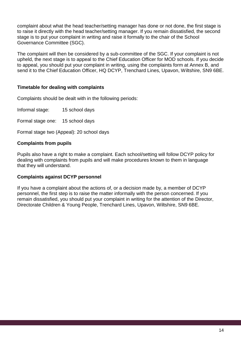complaint about what the head teacher/setting manager has done or not done, the first stage is to raise it directly with the head teacher/setting manager. If you remain dissatisfied, the second stage is to put your complaint in writing and raise it formally to the chair of the School Governance Committee (SGC).

The complaint will then be considered by a sub-committee of the SGC. If your complaint is not upheld, the next stage is to appeal to the Chief Education Officer for MOD schools. If you decide to appeal, you should put your complaint in writing, using the complaints form at Annex B, and send it to the Chief Education Officer, HQ DCYP, Trenchard Lines, Upavon, Wiltshire, SN9 6BE.

### **Timetable for dealing with complaints**

Complaints should be dealt with in the following periods:

Informal stage: 15 school days

Formal stage one: 15 school days

Formal stage two (Appeal): 20 school days

### **Complaints from pupils**

Pupils also have a right to make a complaint. Each school/setting will follow DCYP policy for dealing with complaints from pupils and will make procedures known to them in language that they will understand.

### **Complaints against DCYP personnel**

If you have a complaint about the actions of, or a decision made by, a member of DCYP personnel, the first step is to raise the matter informally with the person concerned. If you remain dissatisfied, you should put your complaint in writing for the attention of the Director, Directorate Children & Young People, Trenchard Lines, Upavon, Wiltshire, SN9 6BE.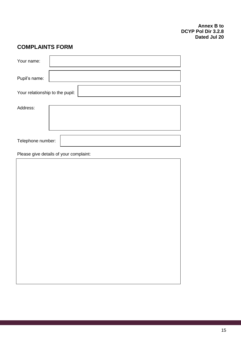# **COMPLAINTS FORM**

| Your name:                      |  |  |
|---------------------------------|--|--|
| Pupil's name:                   |  |  |
| Your relationship to the pupil: |  |  |
| Address:                        |  |  |
| Telephone number:               |  |  |

Please give details of your complaint: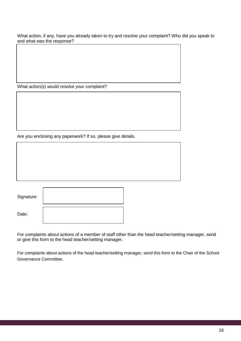What action, if any, have you already taken to try and resolve your complaint? Who did you speak to and what was the response?

What action(s) would resolve your complaint?

Are you enclosing any paperwork? If so, please give details.

| Signature: |  |
|------------|--|
| Date:      |  |

For complaints about actions of a member of staff other than the head teacher/setting manager, send or give this form to the head teacher/setting manager.

For complaints about actions of the head teacher/setting manager, send this form to the Chair of the School Governance Committee.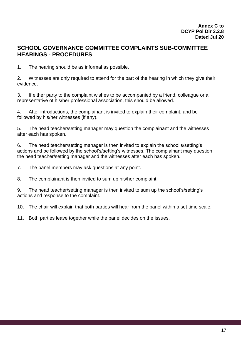### **SCHOOL GOVERNANCE COMMITTEE COMPLAINTS SUB-COMMITTEE HEARINGS - PROCEDURES**

1. The hearing should be as informal as possible.

2. Witnesses are only required to attend for the part of the hearing in which they give their evidence.

3. If either party to the complaint wishes to be accompanied by a friend, colleague or a representative of his/her professional association, this should be allowed.

4. After introductions, the complainant is invited to explain their complaint, and be followed by his/her witnesses (if any).

5. The head teacher/setting manager may question the complainant and the witnesses after each has spoken.

6. The head teacher/setting manager is then invited to explain the school's/setting's actions and be followed by the school's/setting's witnesses. The complainant may question the head teacher/setting manager and the witnesses after each has spoken.

7. The panel members may ask questions at any point.

8. The complainant is then invited to sum up his/her complaint.

9. The head teacher/setting manager is then invited to sum up the school's/setting's actions and response to the complaint.

10. The chair will explain that both parties will hear from the panel within a set time scale.

11. Both parties leave together while the panel decides on the issues.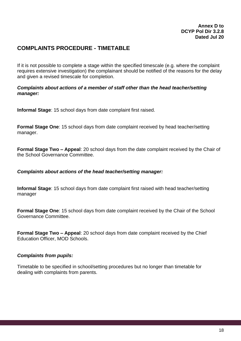# **COMPLAINTS PROCEDURE - TIMETABLE**

If it is not possible to complete a stage within the specified timescale (e.g. where the complaint requires extensive investigation) the complainant should be notified of the reasons for the delay and given a revised timescale for completion.

### *Complaints about actions of a member of staff other than the head teacher/setting manager:*

**Informal Stage**: 15 school days from date complaint first raised.

**Formal Stage One**: 15 school days from date complaint received by head teacher/setting manager.

**Formal Stage Two – Appeal**: 20 school days from the date complaint received by the Chair of the School Governance Committee.

### *Complaints about actions of the head teacher/setting manager:*

**Informal Stage**: 15 school days from date complaint first raised with head teacher/setting manager

**Formal Stage One**: 15 school days from date complaint received by the Chair of the School Governance Committee.

**Formal Stage Two – Appeal**: 20 school days from date complaint received by the Chief Education Officer, MOD Schools.

### *Complaints from pupils:*

Timetable to be specified in school/setting procedures but no longer than timetable for dealing with complaints from parents.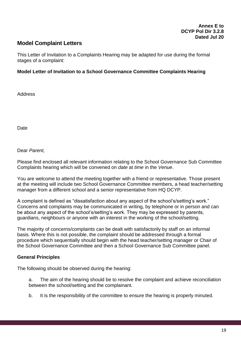### **Model Complaint Letters**

This Letter of Invitation to a Complaints Hearing may be adapted for use during the formal stages of a complaint:

### **Model Letter of Invitation to a School Governance Committee Complaints Hearing**

**Address** 

**Date** 

Dear *Parent,*

Please find enclosed all relevant information relating to the School Governance Sub Committee Complaints hearing which will be convened on *date* at *time* in the *Venue*.

You are welcome to attend the meeting together with a friend or representative. Those present at the meeting will include two School Governance Committee members, a head teacher/setting manager from a different school and a senior representative from HQ DCYP.

A complaint is defined as "dissatisfaction about any aspect of the school's/setting's work." Concerns and complaints may be communicated in writing, by telephone or in person and can be about any aspect of the school's/setting's work. They may be expressed by parents, guardians, neighbours or anyone with an interest in the working of the school/setting.

The majority of concerns/complaints can be dealt with satisfactorily by staff on an informal basis. Where this is not possible, the complaint should be addressed through a formal procedure which sequentially should begin with the head teacher/setting manager or Chair of the School Governance Committee and then a School Governance Sub Committee panel.

### **General Principles**

The following should be observed during the hearing:

a. The aim of the hearing should be to resolve the complaint and achieve reconciliation between the school/setting and the complainant.

b. It is the responsibility of the committee to ensure the hearing is properly minuted.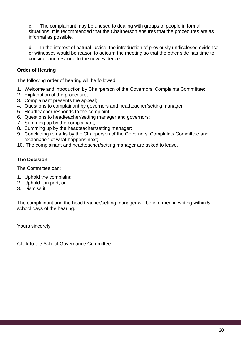c. The complainant may be unused to dealing with groups of people in formal situations. It is recommended that the Chairperson ensures that the procedures are as informal as possible.

d. In the interest of natural justice, the introduction of previously undisclosed evidence or witnesses would be reason to adjourn the meeting so that the other side has time to consider and respond to the new evidence.

### **Order of Hearing**

The following order of hearing will be followed:

- 1. Welcome and introduction by Chairperson of the Governors' Complaints Committee;
- 2. Explanation of the procedure;
- 3. Complainant presents the appeal;
- 4. Questions to complainant by governors and headteacher/setting manager
- 5. Headteacher responds to the complaint;
- 6. Questions to headteacher/setting manager and governors;
- 7. Summing up by the complainant;
- 8. Summing up by the headteacher/setting manager;
- 9. Concluding remarks by the Chairperson of the Governors' Complaints Committee and explanation of what happens next;
- 10. The complainant and headteacher/setting manager are asked to leave.

### **The Decision**

The Committee can:

- 1. Uphold the complaint;
- 2. Uphold it in part; or
- 3. Dismiss it.

The complainant and the head teacher/setting manager will be informed in writing within 5 school days of the hearing.

Yours sincerely

Clerk to the School Governance Committee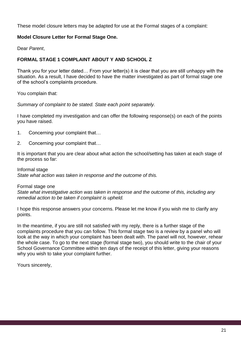These model closure letters may be adapted for use at the Formal stages of a complaint:

### **Model Closure Letter for Formal Stage One.**

Dear *Parent*,

### **FORMAL STAGE 1 COMPLAINT ABOUT Y AND SCHOOL Z**

Thank you for your letter dated… From your letter(s) it is clear that you are still unhappy with the situation. As a result, I have decided to have the matter investigated as part of formal stage one of the school's complaints procedure.

You complain that:

*Summary of complaint to be stated. State each point separately.*

I have completed my investigation and can offer the following response(s) on each of the points you have raised.

- 1. Concerning your complaint that…
- 2. Concerning your complaint that…

It is important that you are clear about what action the school/setting has taken at each stage of the process so far:

Informal stage *State what action was taken in response and the outcome of this.*

Formal stage one

*State what investigative action was taken in response and the outcome of this, including any remedial action to be taken if complaint is upheld.*

I hope this response answers your concerns. Please let me know if you wish me to clarify any points.

In the meantime, if you are still not satisfied with my reply, there is a further stage of the complaints procedure that you can follow. This formal stage two is a review by a panel who will look at the way in which your complaint has been dealt with. The panel will not, however, rehear the whole case. To go to the next stage (formal stage two), you should write to the chair of your School Governance Committee within ten days of the receipt of this letter, giving your reasons why you wish to take your complaint further.

Yours sincerely,